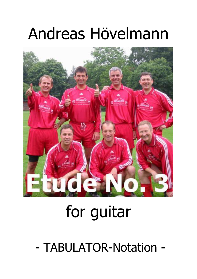## Andreas Hövelmann



## for guitar

- TABULATOR-Notation -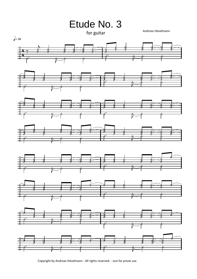

Copyright by Andreas Hövelmann - All rights reserved. - Just for privat use.